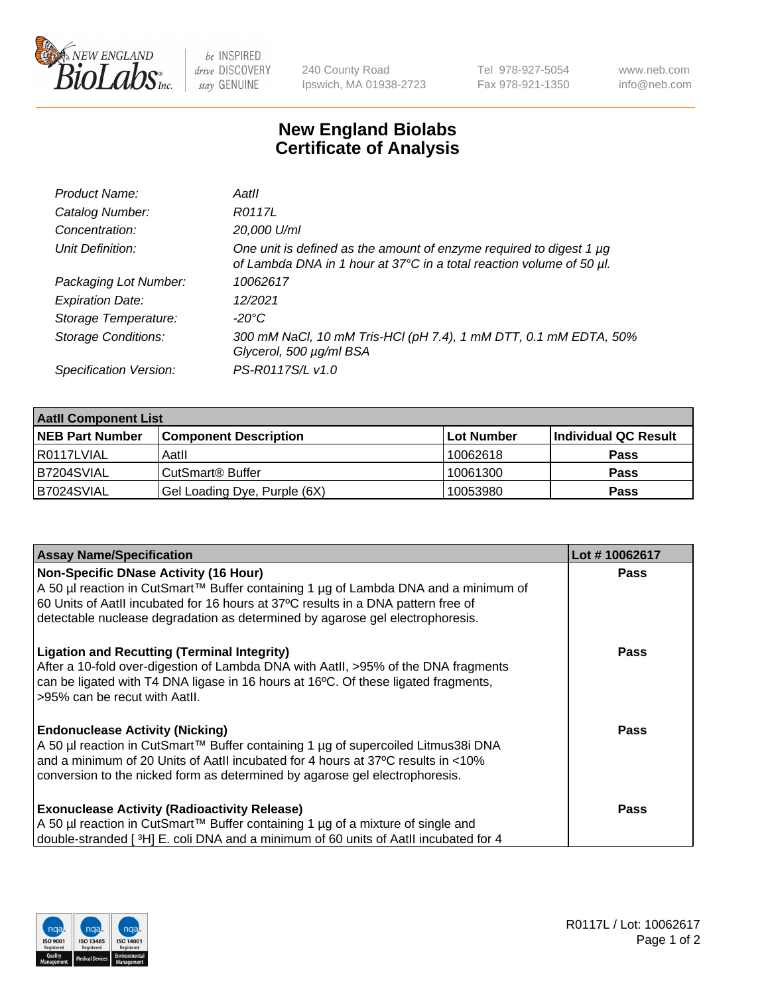

 $be$  INSPIRED drive DISCOVERY stay GENUINE

240 County Road Ipswich, MA 01938-2723 Tel 978-927-5054 Fax 978-921-1350 www.neb.com info@neb.com

## **New England Biolabs Certificate of Analysis**

| Product Name:              | Aatll                                                                                                                                       |
|----------------------------|---------------------------------------------------------------------------------------------------------------------------------------------|
| Catalog Number:            | R0117L                                                                                                                                      |
| Concentration:             | 20,000 U/ml                                                                                                                                 |
| Unit Definition:           | One unit is defined as the amount of enzyme required to digest 1 µg<br>of Lambda DNA in 1 hour at 37°C in a total reaction volume of 50 µl. |
| Packaging Lot Number:      | 10062617                                                                                                                                    |
| <b>Expiration Date:</b>    | 12/2021                                                                                                                                     |
| Storage Temperature:       | $-20^{\circ}$ C                                                                                                                             |
| <b>Storage Conditions:</b> | 300 mM NaCl, 10 mM Tris-HCl (pH 7.4), 1 mM DTT, 0.1 mM EDTA, 50%<br>Glycerol, 500 µg/ml BSA                                                 |
| Specification Version:     | PS-R0117S/L v1.0                                                                                                                            |

| <b>Aatll Component List</b> |                              |            |                      |  |  |
|-----------------------------|------------------------------|------------|----------------------|--|--|
| <b>NEB Part Number</b>      | <b>Component Description</b> | Lot Number | Individual QC Result |  |  |
| R0117LVIAL                  | Aatll                        | 10062618   | <b>Pass</b>          |  |  |
| B7204SVIAL                  | CutSmart <sup>®</sup> Buffer | 10061300   | <b>Pass</b>          |  |  |
| B7024SVIAL                  | Gel Loading Dye, Purple (6X) | 10053980   | <b>Pass</b>          |  |  |

| <b>Assay Name/Specification</b>                                                                                                                                                                                                                                                                                                                                                                                                                                                                                                                                                                                                                                                                                       | Lot #10062617 |
|-----------------------------------------------------------------------------------------------------------------------------------------------------------------------------------------------------------------------------------------------------------------------------------------------------------------------------------------------------------------------------------------------------------------------------------------------------------------------------------------------------------------------------------------------------------------------------------------------------------------------------------------------------------------------------------------------------------------------|---------------|
| Non-Specific DNase Activity (16 Hour)                                                                                                                                                                                                                                                                                                                                                                                                                                                                                                                                                                                                                                                                                 | <b>Pass</b>   |
| A 50 µl reaction in CutSmart™ Buffer containing 1 µg of Lambda DNA and a minimum of                                                                                                                                                                                                                                                                                                                                                                                                                                                                                                                                                                                                                                   |               |
| 60 Units of AatII incubated for 16 hours at 37°C results in a DNA pattern free of                                                                                                                                                                                                                                                                                                                                                                                                                                                                                                                                                                                                                                     |               |
|                                                                                                                                                                                                                                                                                                                                                                                                                                                                                                                                                                                                                                                                                                                       |               |
|                                                                                                                                                                                                                                                                                                                                                                                                                                                                                                                                                                                                                                                                                                                       | <b>Pass</b>   |
| After a 10-fold over-digestion of Lambda DNA with AatII, >95% of the DNA fragments                                                                                                                                                                                                                                                                                                                                                                                                                                                                                                                                                                                                                                    |               |
|                                                                                                                                                                                                                                                                                                                                                                                                                                                                                                                                                                                                                                                                                                                       |               |
|                                                                                                                                                                                                                                                                                                                                                                                                                                                                                                                                                                                                                                                                                                                       |               |
|                                                                                                                                                                                                                                                                                                                                                                                                                                                                                                                                                                                                                                                                                                                       | Pass          |
|                                                                                                                                                                                                                                                                                                                                                                                                                                                                                                                                                                                                                                                                                                                       |               |
| and a minimum of 20 Units of AatII incubated for 4 hours at 37°C results in <10%                                                                                                                                                                                                                                                                                                                                                                                                                                                                                                                                                                                                                                      |               |
|                                                                                                                                                                                                                                                                                                                                                                                                                                                                                                                                                                                                                                                                                                                       |               |
|                                                                                                                                                                                                                                                                                                                                                                                                                                                                                                                                                                                                                                                                                                                       |               |
|                                                                                                                                                                                                                                                                                                                                                                                                                                                                                                                                                                                                                                                                                                                       |               |
|                                                                                                                                                                                                                                                                                                                                                                                                                                                                                                                                                                                                                                                                                                                       |               |
| detectable nuclease degradation as determined by agarose gel electrophoresis.<br><b>Ligation and Recutting (Terminal Integrity)</b><br>can be ligated with T4 DNA ligase in 16 hours at 16 $\degree$ C. Of these ligated fragments,<br>l >95% can be recut with AatII.<br><b>Endonuclease Activity (Nicking)</b><br>A 50 µl reaction in CutSmart™ Buffer containing 1 µg of supercoiled Litmus38i DNA<br>conversion to the nicked form as determined by agarose gel electrophoresis.<br><b>Exonuclease Activity (Radioactivity Release)</b><br>A 50 µl reaction in CutSmart™ Buffer containing 1 µg of a mixture of single and<br>double-stranded [3H] E. coli DNA and a minimum of 60 units of Aatll incubated for 4 | <b>Pass</b>   |